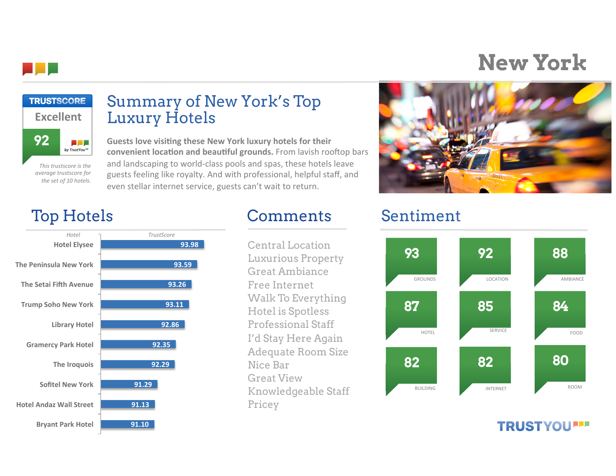# **New York**



### Top Hotels Comments Sentiment

**This trustscore is the** *average%trustscore%for%* the set of 10 hotels.

التارات by TrustYou™

**92**

. .

**Excellent**

**TRUSTSCORE** 



## Summary of New York's Top Luxury Hotels

**Guests love visiting these New York luxury hotels for their** convenient location and beautiful grounds. From lavish rooftop bars and landscaping to world-class pools and spas, these hotels leave guests feeling like royalty. And with professional, helpful staff, and even stellar internet service, guests can't wait to return.

Central Location Luxurious Property Great Ambiance Free Internet Walk To Everything Hotel is Spotless Professional Staff I'd Stay Here Again Adequate Room Size Nice Bar Great View Knowledgeable Staff Pricey



### **TRUSTYOU''**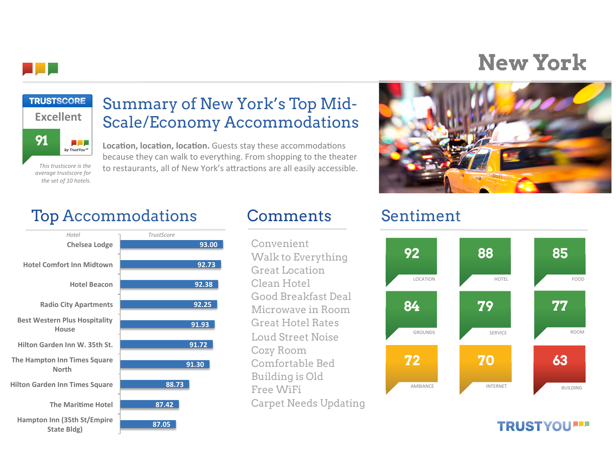

## **New York**



**This trustscore is the** *average%trustscore%for%* the set of 10 hotels.

### Summary of New York's Top Mid-Scale/Economy Accommodations

**Location, location, location.** Guests stay these accommodations because they can walk to everything. From shopping to the theater to restaurants, all of New York's attractions are all easily accessible.



## Top Accommodations Comments Sentiment



Convenient Walk to Everything Great Location Clean Hotel Good Breakfast Deal Microwave in Room Great Hotel Rates Loud Street Noise Cozy Room Comfortable Bed Building is Old Free WiFi Carpet Needs Updating



### **TRUSTYOU''**